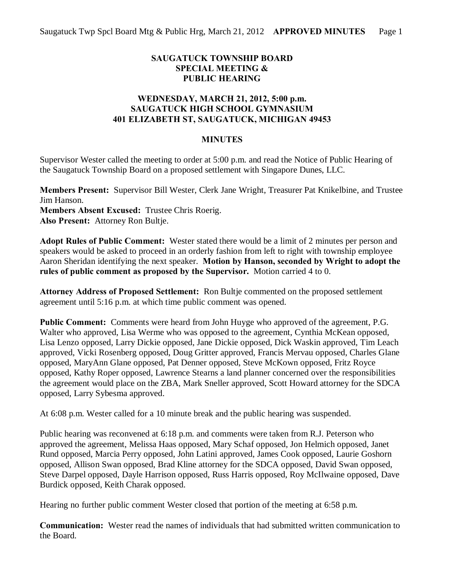## **SAUGATUCK TOWNSHIP BOARD SPECIAL MEETING & PUBLIC HEARING**

## **WEDNESDAY, MARCH 21, 2012, 5:00 p.m. SAUGATUCK HIGH SCHOOL GYMNASIUM 401 ELIZABETH ST, SAUGATUCK, MICHIGAN 49453**

## **MINUTES**

Supervisor Wester called the meeting to order at 5:00 p.m. and read the Notice of Public Hearing of the Saugatuck Township Board on a proposed settlement with Singapore Dunes, LLC.

**Members Present:** Supervisor Bill Wester, Clerk Jane Wright, Treasurer Pat Knikelbine, and Trustee Jim Hanson. **Members Absent Excused:** Trustee Chris Roerig. **Also Present:** Attorney Ron Bultje.

**Adopt Rules of Public Comment:** Wester stated there would be a limit of 2 minutes per person and speakers would be asked to proceed in an orderly fashion from left to right with township employee Aaron Sheridan identifying the next speaker. **Motion by Hanson, seconded by Wright to adopt the rules of public comment as proposed by the Supervisor.** Motion carried 4 to 0.

**Attorney Address of Proposed Settlement:** Ron Bultje commented on the proposed settlement agreement until 5:16 p.m. at which time public comment was opened.

**Public Comment:** Comments were heard from John Huyge who approved of the agreement, P.G. Walter who approved, Lisa Werme who was opposed to the agreement, Cynthia McKean opposed, Lisa Lenzo opposed, Larry Dickie opposed, Jane Dickie opposed, Dick Waskin approved, Tim Leach approved, Vicki Rosenberg opposed, Doug Gritter approved, Francis Mervau opposed, Charles Glane opposed, MaryAnn Glane opposed, Pat Denner opposed, Steve McKown opposed, Fritz Royce opposed, Kathy Roper opposed, Lawrence Stearns a land planner concerned over the responsibilities the agreement would place on the ZBA, Mark Sneller approved, Scott Howard attorney for the SDCA opposed, Larry Sybesma approved.

At 6:08 p.m. Wester called for a 10 minute break and the public hearing was suspended.

Public hearing was reconvened at 6:18 p.m. and comments were taken from R.J. Peterson who approved the agreement, Melissa Haas opposed, Mary Schaf opposed, Jon Helmich opposed, Janet Rund opposed, Marcia Perry opposed, John Latini approved, James Cook opposed, Laurie Goshorn opposed, Allison Swan opposed, Brad Kline attorney for the SDCA opposed, David Swan opposed, Steve Darpel opposed, Dayle Harrison opposed, Russ Harris opposed, Roy McIlwaine opposed, Dave Burdick opposed, Keith Charak opposed.

Hearing no further public comment Wester closed that portion of the meeting at 6:58 p.m.

**Communication:** Wester read the names of individuals that had submitted written communication to the Board.